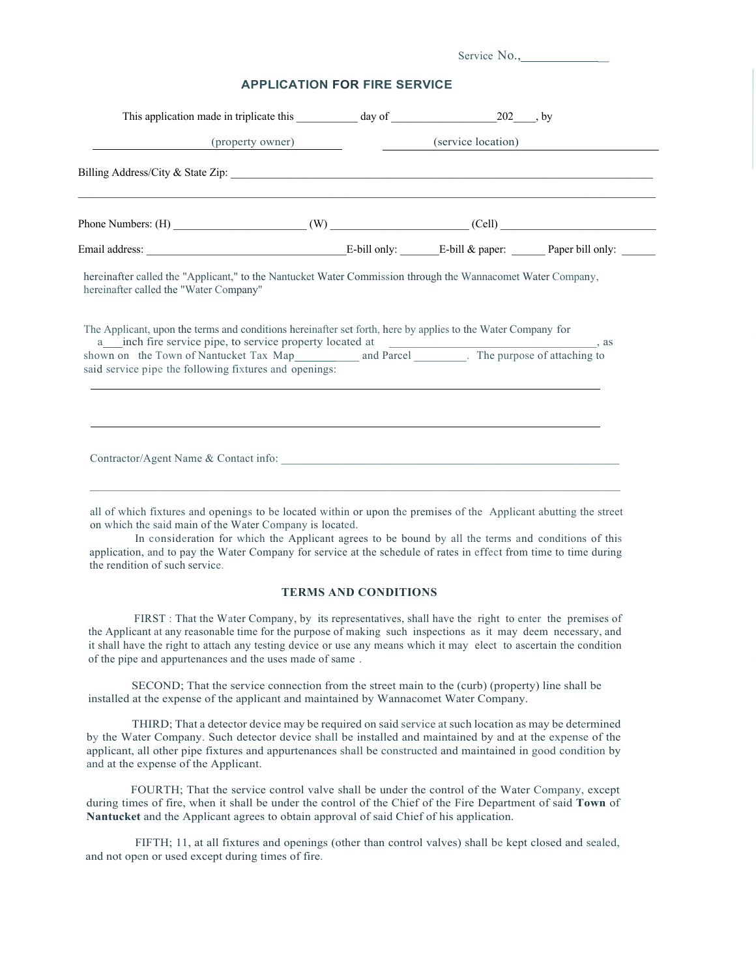| <b>APPLICATION FOR FIRE SERVICE</b>                                                                                                                                                                                                                                                                                       |  |                                     |  |  |
|---------------------------------------------------------------------------------------------------------------------------------------------------------------------------------------------------------------------------------------------------------------------------------------------------------------------------|--|-------------------------------------|--|--|
|                                                                                                                                                                                                                                                                                                                           |  |                                     |  |  |
|                                                                                                                                                                                                                                                                                                                           |  | (property owner) (service location) |  |  |
|                                                                                                                                                                                                                                                                                                                           |  |                                     |  |  |
|                                                                                                                                                                                                                                                                                                                           |  |                                     |  |  |
|                                                                                                                                                                                                                                                                                                                           |  |                                     |  |  |
| hereinafter called the "Water Company"                                                                                                                                                                                                                                                                                    |  |                                     |  |  |
| The Applicant, upon the terms and conditions hereinafter set forth, here by applies to the Water Company for<br>a inch fire service pipe, to service property located at shown on the Town of Nantucket Tax Map and Parcel _______. The purpose of attaching to<br>said service pipe the following fixtures and openings: |  |                                     |  |  |

all of which fixtures and openings to be located within or upon the premises of the Applicant abutting the street on which the said main of the Water Company is located.

In consideration for which the Applicant agrees to be bound by all the terms and conditions of this application, and to pay the Water Company for service at the schedule of rates in effect from time to time during the rendition of such service.

## **TERMS AND CONDITIONS**

FIRST : That the Water Company, by its representatives, shall have the right to enter the premises of the Applicant at any reasonable time for the purpose of making such inspections as it may deem necessary, and it shall have the right to attach any testing device or use any means which it may elect to ascertain the condition of the pipe and appurtenances and the uses made of same .

SECOND; That the service connection from the street main to the (curb) (property) line shall be installed at the expense of the applicant and maintained by Wannacomet Water Company.

THIRD; That a detector device may be required on said service at such location as may be determined by the Water Company. Such detector device shall be installed and maintained by and at the expense of the applicant, all other pipe fixtures and appurtenances shall be constructed and maintained in good condition by and at the expense of the Applicant.

FOURTH; That the service control valve shall be under the control of the Water Company, except during times of fire, when it shall be under the control of the Chief of the Fire Department of said **Town** of **Nantucket** and the Applicant agrees to obtain approval of said Chief of his application.

FIFTH; 11, at all fixtures and openings (other than control valves) shall be kept closed and sealed, and not open or used except during times of fire.